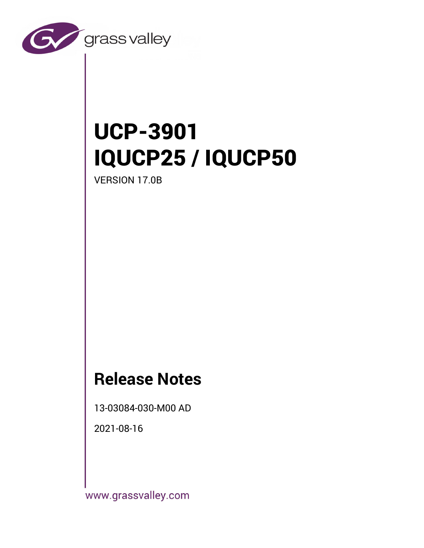

# UCP-3901 IQUCP25 / IQUCP50

VERSION 17.0B

### **Release Notes**

13-03084-030-M00 AD

2021-08-16

www.grassvalley.com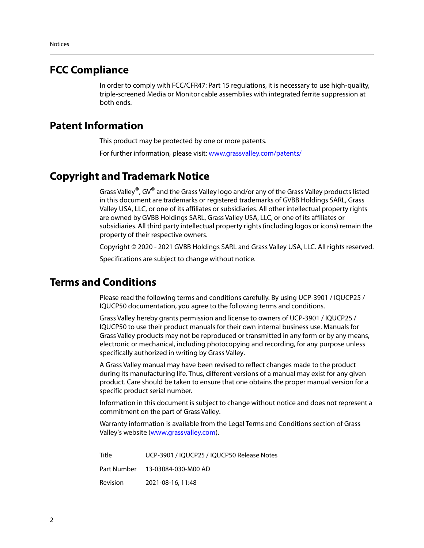#### **FCC Compliance**

In order to comply with FCC/CFR47: Part 15 regulations, it is necessary to use high-quality, triple-screened Media or Monitor cable assemblies with integrated ferrite suppression at both ends.

#### **Patent Information**

This product may be protected by one or more patents.

For further information, please visit:<www.grassvalley.com/patents/>

#### **Copyright and Trademark Notice**

Grass Valley®, GV® and the Grass Valley logo and/or any of the Grass Valley products listed in this document are trademarks or registered trademarks of GVBB Holdings SARL, Grass Valley USA, LLC, or one of its affiliates or subsidiaries. All other intellectual property rights are owned by GVBB Holdings SARL, Grass Valley USA, LLC, or one of its affiliates or subsidiaries. All third party intellectual property rights (including logos or icons) remain the property of their respective owners.

Copyright © 2020 - 2021 GVBB Holdings SARL and Grass Valley USA, LLC. All rights reserved.

Specifications are subject to change without notice.

#### **Terms and Conditions**

Please read the following terms and conditions carefully. By using UCP-3901 / IQUCP25 / IQUCP50 documentation, you agree to the following terms and conditions.

Grass Valley hereby grants permission and license to owners of UCP-3901 / IQUCP25 / IQUCP50 to use their product manuals for their own internal business use. Manuals for Grass Valley products may not be reproduced or transmitted in any form or by any means, electronic or mechanical, including photocopying and recording, for any purpose unless specifically authorized in writing by Grass Valley.

A Grass Valley manual may have been revised to reflect changes made to the product during its manufacturing life. Thus, different versions of a manual may exist for any given product. Care should be taken to ensure that one obtains the proper manual version for a specific product serial number.

Information in this document is subject to change without notice and does not represent a commitment on the part of Grass Valley.

Warranty information is available from the Legal Terms and Conditions section of Grass Valley's website ([www.grassvalley.com\)](http://www.grassvalley.com).

Title UCP-3901 / IQUCP25 / IQUCP50 Release Notes Part Number 13-03084-030-M00 AD Revision 2021-08-16, 11:48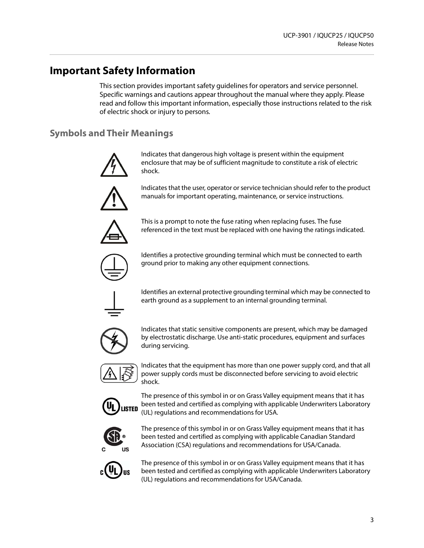#### **Important Safety Information**

This section provides important safety guidelines for operators and service personnel. Specific warnings and cautions appear throughout the manual where they apply. Please read and follow this important information, especially those instructions related to the risk of electric shock or injury to persons.

#### **Symbols and Their Meanings**



Indicates that dangerous high voltage is present within the equipment enclosure that may be of sufficient magnitude to constitute a risk of electric shock.



Indicates that the user, operator or service technician should refer to the product manuals for important operating, maintenance, or service instructions.



This is a prompt to note the fuse rating when replacing fuses. The fuse referenced in the text must be replaced with one having the ratings indicated.



Identifies a protective grounding terminal which must be connected to earth ground prior to making any other equipment connections.



Identifies an external protective grounding terminal which may be connected to earth ground as a supplement to an internal grounding terminal.



Indicates that static sensitive components are present, which may be damaged by electrostatic discharge. Use anti-static procedures, equipment and surfaces during servicing.



Indicates that the equipment has more than one power supply cord, and that all power supply cords must be disconnected before servicing to avoid electric shock.



The presence of this symbol in or on Grass Valley equipment means that it has been tested and certified as complying with applicable Underwriters Laboratory (UL) regulations and recommendations for USA.



The presence of this symbol in or on Grass Valley equipment means that it has been tested and certified as complying with applicable Canadian Standard Association (CSA) regulations and recommendations for USA/Canada.



The presence of this symbol in or on Grass Valley equipment means that it has been tested and certified as complying with applicable Underwriters Laboratory (UL) regulations and recommendations for USA/Canada.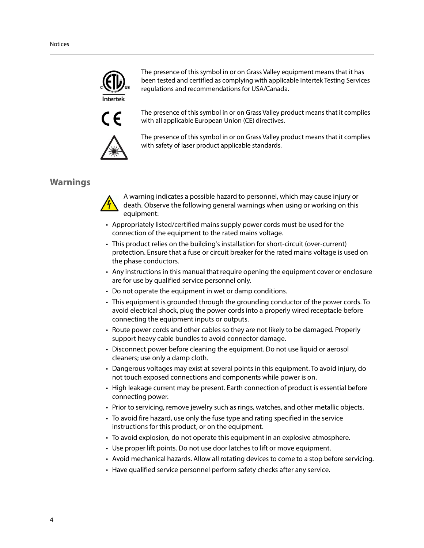

The presence of this symbol in or on Grass Valley equipment means that it has been tested and certified as complying with applicable Intertek Testing Services regulations and recommendations for USA/Canada.

 $\epsilon$ 

The presence of this symbol in or on Grass Valley product means that it complies with all applicable European Union (CE) directives.



The presence of this symbol in or on Grass Valley product means that it complies with safety of laser product applicable standards.

#### **Warnings**



A warning indicates a possible hazard to personnel, which may cause injury or death. Observe the following general warnings when using or working on this equipment:

- Appropriately listed/certified mains supply power cords must be used for the connection of the equipment to the rated mains voltage.
- This product relies on the building's installation for short-circuit (over-current) protection. Ensure that a fuse or circuit breaker for the rated mains voltage is used on the phase conductors.
- Any instructions in this manual that require opening the equipment cover or enclosure are for use by qualified service personnel only.
- Do not operate the equipment in wet or damp conditions.
- This equipment is grounded through the grounding conductor of the power cords. To avoid electrical shock, plug the power cords into a properly wired receptacle before connecting the equipment inputs or outputs.
- Route power cords and other cables so they are not likely to be damaged. Properly support heavy cable bundles to avoid connector damage.
- Disconnect power before cleaning the equipment. Do not use liquid or aerosol cleaners; use only a damp cloth.
- Dangerous voltages may exist at several points in this equipment. To avoid injury, do not touch exposed connections and components while power is on.
- High leakage current may be present. Earth connection of product is essential before connecting power.
- Prior to servicing, remove jewelry such as rings, watches, and other metallic objects.
- To avoid fire hazard, use only the fuse type and rating specified in the service instructions for this product, or on the equipment.
- To avoid explosion, do not operate this equipment in an explosive atmosphere.
- Use proper lift points. Do not use door latches to lift or move equipment.
- Avoid mechanical hazards. Allow all rotating devices to come to a stop before servicing.
- Have qualified service personnel perform safety checks after any service.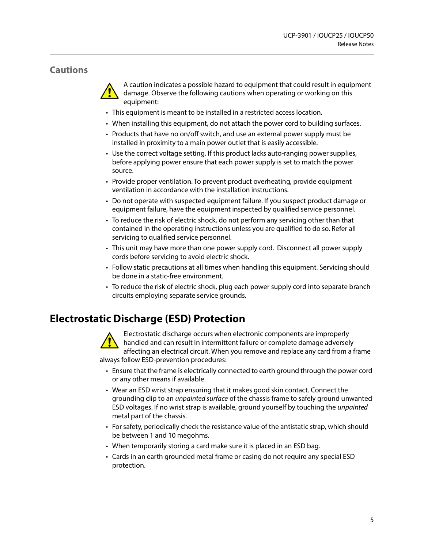#### **Cautions**



A caution indicates a possible hazard to equipment that could result in equipment damage. Observe the following cautions when operating or working on this equipment:

- This equipment is meant to be installed in a restricted access location.
- When installing this equipment, do not attach the power cord to building surfaces.
- Products that have no on/off switch, and use an external power supply must be installed in proximity to a main power outlet that is easily accessible.
- Use the correct voltage setting. If this product lacks auto-ranging power supplies, before applying power ensure that each power supply is set to match the power source.
- Provide proper ventilation. To prevent product overheating, provide equipment ventilation in accordance with the installation instructions.
- Do not operate with suspected equipment failure. If you suspect product damage or equipment failure, have the equipment inspected by qualified service personnel.
- To reduce the risk of electric shock, do not perform any servicing other than that contained in the operating instructions unless you are qualified to do so. Refer all servicing to qualified service personnel.
- This unit may have more than one power supply cord. Disconnect all power supply cords before servicing to avoid electric shock.
- Follow static precautions at all times when handling this equipment. Servicing should be done in a static-free environment.
- To reduce the risk of electric shock, plug each power supply cord into separate branch circuits employing separate service grounds.

#### **Electrostatic Discharge (ESD) Protection**

Electrostatic discharge occurs when electronic components are improperly handled and can result in intermittent failure or complete damage adversely affecting an electrical circuit. When you remove and replace any card from a frame always follow ESD-prevention procedures:

- Ensure that the frame is electrically connected to earth ground through the power cord or any other means if available.
- Wear an ESD wrist strap ensuring that it makes good skin contact. Connect the grounding clip to an unpainted surface of the chassis frame to safely ground unwanted ESD voltages. If no wrist strap is available, ground yourself by touching the unpainted metal part of the chassis.
- For safety, periodically check the resistance value of the antistatic strap, which should be between 1 and 10 megohms.
- When temporarily storing a card make sure it is placed in an ESD bag.
- Cards in an earth grounded metal frame or casing do not require any special ESD protection.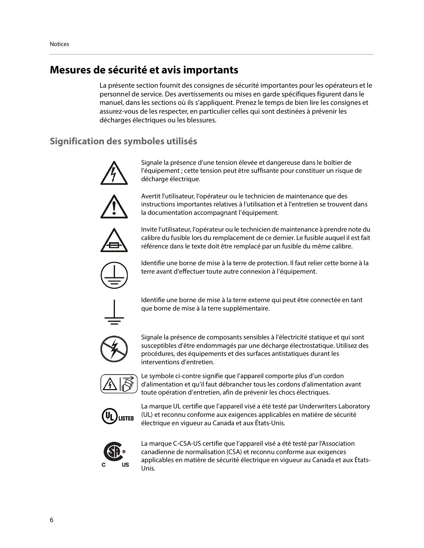#### **Mesures de sécurité et avis importants**

La présente section fournit des consignes de sécurité importantes pour les opérateurs et le personnel de service. Des avertissements ou mises en garde spécifiques figurent dans le manuel, dans les sections où ils s'appliquent. Prenez le temps de bien lire les consignes et assurez-vous de les respecter, en particulier celles qui sont destinées à prévenir les décharges électriques ou les blessures.

#### **Signification des symboles utilisés**



Signale la présence d'une tension élevée et dangereuse dans le boîtier de l'équipement ; cette tension peut être suffisante pour constituer un risque de décharge électrique.

Avertit l'utilisateur, l'opérateur ou le technicien de maintenance que des instructions importantes relatives à l'utilisation et à l'entretien se trouvent dans la documentation accompagnant l'équipement.



Invite l'utilisateur, l'opérateur ou le technicien de maintenance à prendre note du calibre du fusible lors du remplacement de ce dernier. Le fusible auquel il est fait référence dans le texte doit être remplacé par un fusible du même calibre.



Identifie une borne de mise à la terre de protection. Il faut relier cette borne à la terre avant d'effectuer toute autre connexion à l'équipement.



Identifie une borne de mise à la terre externe qui peut être connectée en tant que borne de mise à la terre supplémentaire.



Signale la présence de composants sensibles à l'électricité statique et qui sont susceptibles d'être endommagés par une décharge électrostatique. Utilisez des procédures, des équipements et des surfaces antistatiques durant les interventions d'entretien.



Le symbole ci-contre signifie que l'appareil comporte plus d'un cordon d'alimentation et qu'il faut débrancher tous les cordons d'alimentation avant toute opération d'entretien, afin de prévenir les chocs électriques.



La marque UL certifie que l'appareil visé a été testé par Underwriters Laboratory (UL) et reconnu conforme aux exigences applicables en matière de sécurité électrique en vigueur au Canada et aux États-Unis.



La marque C-CSA-US certifie que l'appareil visé a été testé par l'Association canadienne de normalisation (CSA) et reconnu conforme aux exigences applicables en matière de sécurité électrique en vigueur au Canada et aux États-Unis.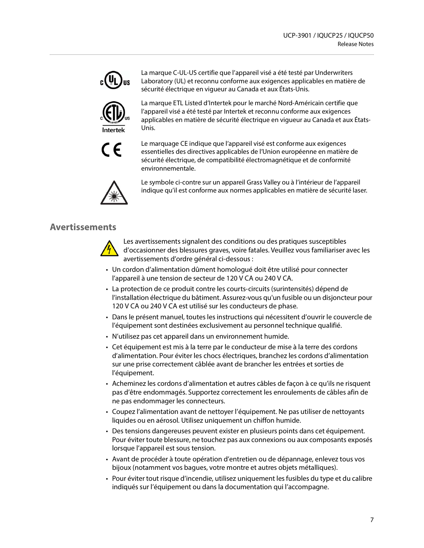

La marque C-UL-US certifie que l'appareil visé a été testé par Underwriters Laboratory (UL) et reconnu conforme aux exigences applicables en matière de sécurité électrique en vigueur au Canada et aux États-Unis.

La marque ETL Listed d'Intertek pour le marché Nord-Américain certifie que



l'appareil visé a été testé par Intertek et reconnu conforme aux exigences applicables en matière de sécurité électrique en vigueur au Canada et aux États-Unis. Le marquage CE indique que l'appareil visé est conforme aux exigences

essentielles des directives applicables de l'Union européenne en matière de sécurité électrique, de compatibilité électromagnétique et de conformité environnementale.



Le symbole ci-contre sur un appareil Grass Valley ou à l'intérieur de l'appareil indique qu'il est conforme aux normes applicables en matière de sécurité laser.

#### **Avertissements**



Les avertissements signalent des conditions ou des pratiques susceptibles d'occasionner des blessures graves, voire fatales. Veuillez vous familiariser avec les avertissements d'ordre général ci-dessous :

- Un cordon d'alimentation dûment homologué doit être utilisé pour connecter l'appareil à une tension de secteur de 120 V CA ou 240 V CA.
- La protection de ce produit contre les courts-circuits (surintensités) dépend de l'installation électrique du bâtiment. Assurez-vous qu'un fusible ou un disjoncteur pour 120 V CA ou 240 V CA est utilisé sur les conducteurs de phase.
- Dans le présent manuel, toutes les instructions qui nécessitent d'ouvrir le couvercle de l'équipement sont destinées exclusivement au personnel technique qualifié.
- N'utilisez pas cet appareil dans un environnement humide.
- Cet équipement est mis à la terre par le conducteur de mise à la terre des cordons d'alimentation. Pour éviter les chocs électriques, branchez les cordons d'alimentation sur une prise correctement câblée avant de brancher les entrées et sorties de l'équipement.
- Acheminez les cordons d'alimentation et autres câbles de façon à ce qu'ils ne risquent pas d'être endommagés. Supportez correctement les enroulements de câbles afin de ne pas endommager les connecteurs.
- Coupez l'alimentation avant de nettoyer l'équipement. Ne pas utiliser de nettoyants liquides ou en aérosol. Utilisez uniquement un chiffon humide.
- Des tensions dangereuses peuvent exister en plusieurs points dans cet équipement. Pour éviter toute blessure, ne touchez pas aux connexions ou aux composants exposés lorsque l'appareil est sous tension.
- Avant de procéder à toute opération d'entretien ou de dépannage, enlevez tous vos bijoux (notamment vos bagues, votre montre et autres objets métalliques).
- Pour éviter tout risque d'incendie, utilisez uniquement les fusibles du type et du calibre indiqués sur l'équipement ou dans la documentation qui l'accompagne.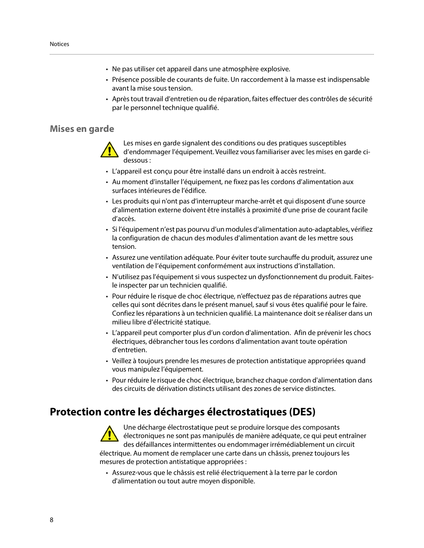- Ne pas utiliser cet appareil dans une atmosphère explosive.
- Présence possible de courants de fuite. Un raccordement à la masse est indispensable avant la mise sous tension.
- Après tout travail d'entretien ou de réparation, faites effectuer des contrôles de sécurité par le personnel technique qualifié.

#### **Mises en garde**



Les mises en garde signalent des conditions ou des pratiques susceptibles d'endommager l'équipement. Veuillez vous familiariser avec les mises en garde cidessous :

- L'appareil est conçu pour être installé dans un endroit à accès restreint.
- Au moment d'installer l'équipement, ne fixez pas les cordons d'alimentation aux surfaces intérieures de l'édifice.
- Les produits qui n'ont pas d'interrupteur marche-arrêt et qui disposent d'une source d'alimentation externe doivent être installés à proximité d'une prise de courant facile d'accès.
- Si l'équipement n'est pas pourvu d'un modules d'alimentation auto-adaptables, vérifiez la configuration de chacun des modules d'alimentation avant de les mettre sous tension.
- Assurez une ventilation adéquate. Pour éviter toute surchauffe du produit, assurez une ventilation de l'équipement conformément aux instructions d'installation.
- N'utilisez pas l'équipement si vous suspectez un dysfonctionnement du produit. Faitesle inspecter par un technicien qualifié.
- Pour réduire le risque de choc électrique, n'effectuez pas de réparations autres que celles qui sont décrites dans le présent manuel, sauf si vous êtes qualifié pour le faire. Confiez les réparations à un technicien qualifié. La maintenance doit se réaliser dans un milieu libre d'électricité statique.
- L'appareil peut comporter plus d'un cordon d'alimentation. Afin de prévenir les chocs électriques, débrancher tous les cordons d'alimentation avant toute opération d'entretien.
- Veillez à toujours prendre les mesures de protection antistatique appropriées quand vous manipulez l'équipement.
- Pour réduire le risque de choc électrique, branchez chaque cordon d'alimentation dans des circuits de dérivation distincts utilisant des zones de service distinctes.

#### **Protection contre les décharges électrostatiques (DES)**

Une décharge électrostatique peut se produire lorsque des composants électroniques ne sont pas manipulés de manière adéquate, ce qui peut entraîner des défaillances intermittentes ou endommager irrémédiablement un circuit électrique. Au moment de remplacer une carte dans un châssis, prenez toujours les mesures de protection antistatique appropriées :

• Assurez-vous que le châssis est relié électriquement à la terre par le cordon d'alimentation ou tout autre moyen disponible.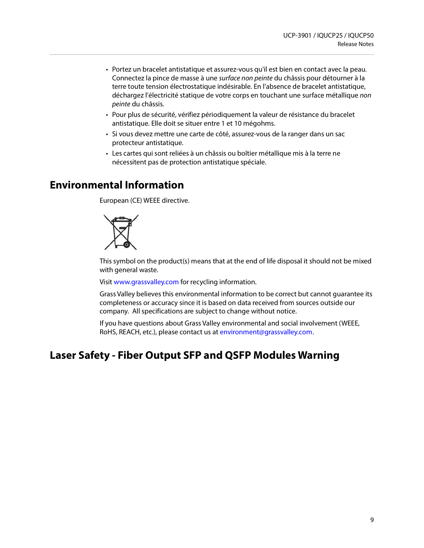- Portez un bracelet antistatique et assurez-vous qu'il est bien en contact avec la peau. Connectez la pince de masse à une surface non peinte du châssis pour détourner à la terre toute tension électrostatique indésirable. En l'absence de bracelet antistatique, déchargez l'électricité statique de votre corps en touchant une surface métallique non peinte du châssis.
- Pour plus de sécurité, vérifiez périodiquement la valeur de résistance du bracelet antistatique. Elle doit se situer entre 1 et 10 mégohms.
- Si vous devez mettre une carte de côté, assurez-vous de la ranger dans un sac protecteur antistatique.
- Les cartes qui sont reliées à un châssis ou boîtier métallique mis à la terre ne nécessitent pas de protection antistatique spéciale.

#### **Environmental Information**

European (CE) WEEE directive.



This symbol on the product(s) means that at the end of life disposal it should not be mixed with general waste.

[Visit](www.grassvalley.com) www.grassvalley.com for recycling information.

Grass Valley believes this environmental information to be correct but cannot guarantee its completeness or accuracy since it is based on data received from sources outside our company. All specifications are subject to change without notice.

[If you have questions about Grass Valley environmental and social involvement \(WEEE,](mailto:environment@grassvalley.com)  [RoHS, REACH, etc.\), please contact us at e](mailto:environment@grassvalley.com)nvironment@grassvalley.com.

#### **Laser Safety - Fiber Output SFP and QSFP Modules Warning**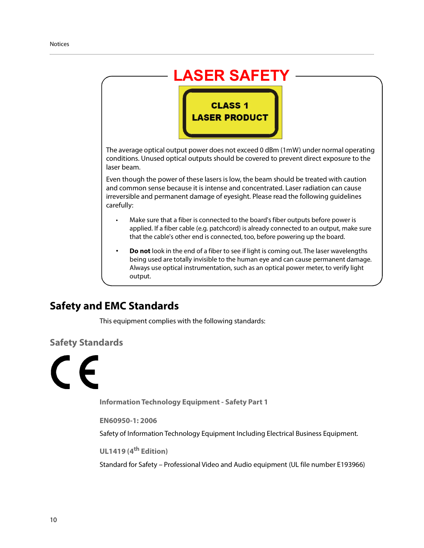

#### **Safety and EMC Standards**

This equipment complies with the following standards:

**Safety Standards**

**Information Technology Equipment - Safety Part 1**

**EN60950-1: 2006**

Safety of Information Technology Equipment Including Electrical Business Equipment.

**UL1419 (4th Edition)** 

Standard for Safety – Professional Video and Audio equipment (UL file number E193966)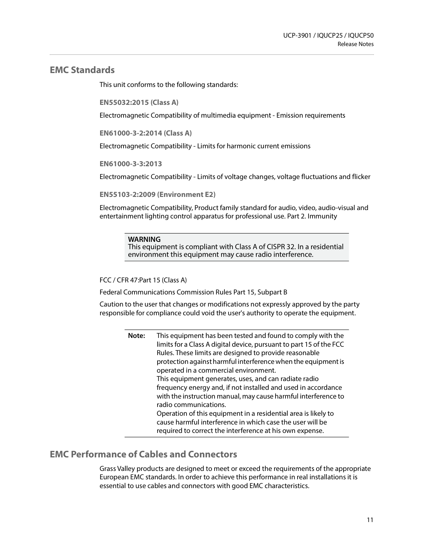#### **EMC Standards**

This unit conforms to the following standards:

**EN55032:2015 (Class A)** 

Electromagnetic Compatibility of multimedia equipment - Emission requirements

**EN61000-3-2:2014 (Class A)** 

Electromagnetic Compatibility - Limits for harmonic current emissions

**EN61000-3-3:2013**

Electromagnetic Compatibility - Limits of voltage changes, voltage fluctuations and flicker

**EN55103-2:2009 (Environment E2)**

Electromagnetic Compatibility, Product family standard for audio, video, audio-visual and entertainment lighting control apparatus for professional use. Part 2. Immunity

#### **WARNING**

This equipment is compliant with Class A of CISPR 32. In a residential environment this equipment may cause radio interference.

FCC / CFR 47:Part 15 (Class A)

Federal Communications Commission Rules Part 15, Subpart B

Caution to the user that changes or modifications not expressly approved by the party responsible for compliance could void the user's authority to operate the equipment.

| Note: | This equipment has been tested and found to comply with the<br>limits for a Class A digital device, pursuant to part 15 of the FCC<br>Rules. These limits are designed to provide reasonable<br>protection against harmful interference when the equipment is<br>operated in a commercial environment.<br>This equipment generates, uses, and can radiate radio<br>frequency energy and, if not installed and used in accordance<br>with the instruction manual, may cause harmful interference to<br>radio communications.<br>Operation of this equipment in a residential area is likely to<br>cause harmful interference in which case the user will be |
|-------|------------------------------------------------------------------------------------------------------------------------------------------------------------------------------------------------------------------------------------------------------------------------------------------------------------------------------------------------------------------------------------------------------------------------------------------------------------------------------------------------------------------------------------------------------------------------------------------------------------------------------------------------------------|
|       | required to correct the interference at his own expense.                                                                                                                                                                                                                                                                                                                                                                                                                                                                                                                                                                                                   |

#### **EMC Performance of Cables and Connectors**

Grass Valley products are designed to meet or exceed the requirements of the appropriate European EMC standards. In order to achieve this performance in real installations it is essential to use cables and connectors with good EMC characteristics.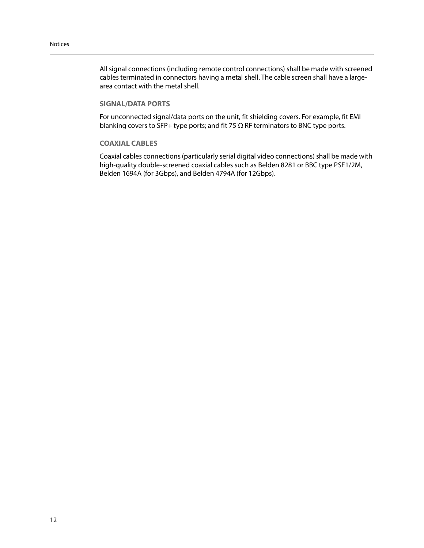All signal connections (including remote control connections) shall be made with screened cables terminated in connectors having a metal shell. The cable screen shall have a largearea contact with the metal shell.

#### **SIGNAL/DATA PORTS**

For unconnected signal/data ports on the unit, fit shielding covers. For example, fit EMI blanking covers to SFP+ type ports; and fit 75 Ώ RF terminators to BNC type ports.

#### **COAXIAL CABLES**

Coaxial cables connections (particularly serial digital video connections) shall be made with high-quality double-screened coaxial cables such as Belden 8281 or BBC type PSF1/2M, Belden 1694A (for 3Gbps), and Belden 4794A (for 12Gbps).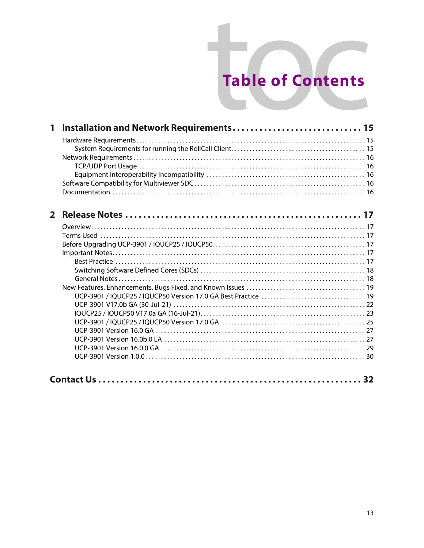## **Table of Contents**

| 1              |  |
|----------------|--|
|                |  |
|                |  |
|                |  |
|                |  |
|                |  |
|                |  |
|                |  |
|                |  |
| $\overline{2}$ |  |
|                |  |
|                |  |
|                |  |
|                |  |
|                |  |
|                |  |
|                |  |
|                |  |
|                |  |
|                |  |
|                |  |
|                |  |
|                |  |
|                |  |
|                |  |
|                |  |
|                |  |
|                |  |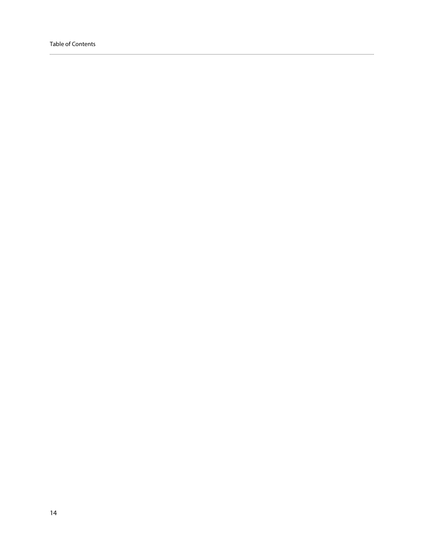Table of Contents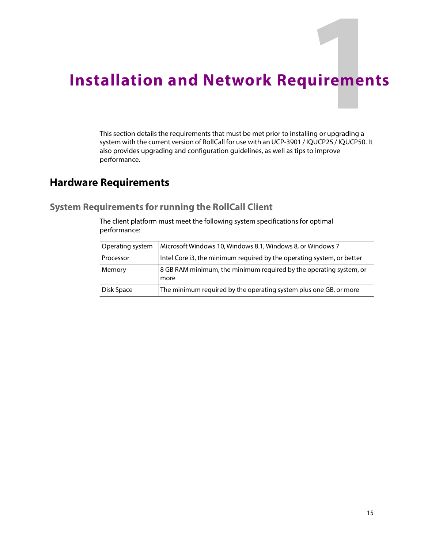# <span id="page-14-0"></span>**Installation and Network Requirements 12**<br> **12**<br> **11**<br> **11**<br> **1111g** or upgrading a

This section details the requirements that must be met prior to installing or upgrading a system with the current version of RollCall for use with an UCP-3901 / IQUCP25 / IQUCP50. It also provides upgrading and configuration guidelines, as well as tips to improve performance.

#### <span id="page-14-1"></span>**Hardware Requirements**

#### <span id="page-14-2"></span>**System Requirements for running the RollCall Client**

The client platform must meet the following system specifications for optimal performance:

| Operating system | Microsoft Windows 10, Windows 8.1, Windows 8, or Windows 7                 |
|------------------|----------------------------------------------------------------------------|
| Processor        | Intel Core i3, the minimum required by the operating system, or better     |
| Memory           | 8 GB RAM minimum, the minimum required by the operating system, or<br>more |
| Disk Space       | The minimum required by the operating system plus one GB, or more          |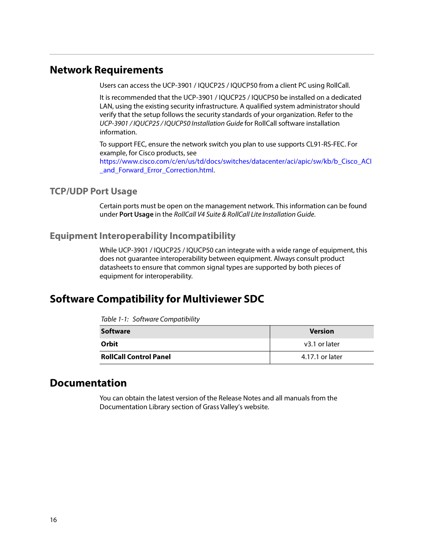#### <span id="page-15-0"></span>**Network Requirements**

Users can access the UCP-3901 / IQUCP25 / IQUCP50 from a client PC using RollCall.

It is recommended that the UCP-3901 / IQUCP25 / IQUCP50 be installed on a dedicated LAN, using the existing security infrastructure. A qualified system administrator should verify that the setup follows the security standards of your organization. Refer to the UCP*-*3901 / IQUCP25 / IQUCP50 Installation Guide for RollCall software installation information.

To support FEC, ensure the network switch you plan to use supports CL91-RS-FEC. For example, for Cisco products, see [https://www.cisco.com/c/en/us/td/docs/switches/datacenter/aci/apic/sw/kb/b\\_Cisco\\_ACI](https://www.cisco.com/c/en/us/td/docs/switches/datacenter/aci/apic/sw/kb/b_Cisco_ACI_and_Forward_Error_Correction.html) [\\_and\\_Forward\\_Error\\_Correction.html](https://www.cisco.com/c/en/us/td/docs/switches/datacenter/aci/apic/sw/kb/b_Cisco_ACI_and_Forward_Error_Correction.html).

#### <span id="page-15-1"></span>**TCP/UDP Port Usage**

Certain ports must be open on the management network. This information can be found under **Port Usage** in the RollCall V4 Suite & RollCall Lite Installation Guide.

#### <span id="page-15-2"></span>**Equipment Interoperability Incompatibility**

While UCP-3901 / IQUCP25 / IQUCP50 can integrate with a wide range of equipment, this does not guarantee interoperability between equipment. Always consult product datasheets to ensure that common signal types are supported by both pieces of equipment for interoperability.

#### <span id="page-15-3"></span>**Software Compatibility for Multiviewer SDC**

|  |  | Table 1-1: Software Compatibility |
|--|--|-----------------------------------|
|--|--|-----------------------------------|

| <b>Software</b>               | <b>Version</b>  |
|-------------------------------|-----------------|
| Orbit                         | v3.1 or later   |
| <b>RollCall Control Panel</b> | 4.17.1 or later |

#### <span id="page-15-4"></span>**Documentation**

You can obtain the latest version of the Release Notes and all manuals from the Documentation Library section of Grass Valley's website.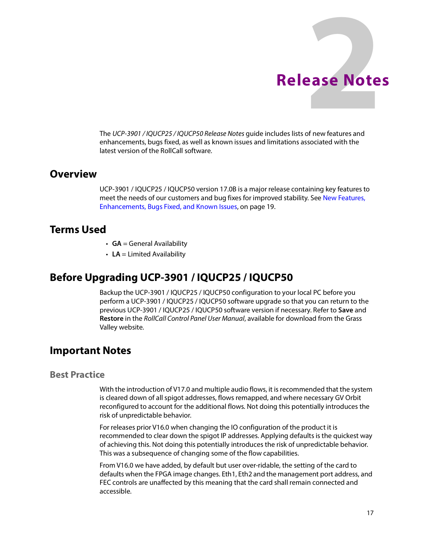# **Release Notes**<br>
2<sup>2</sup><br>
2<sup>2</sup><br>
2<sup>2</sup><br>
2<sup>2</sup><br>
2<sup>2</sup><br>
2<sup>2</sup><br>
2<sup>2</sup><br>
2<sup>2</sup><br>
2<sup>2</sup><br>
2<sup>2</sup><br>
2<sup>2</sup><br>
2<sup>2</sup><br>
2<sup>2</sup><br>
2<sup>2</sup><br>
2<sup>2</sup><br>
2<sup>2</sup><br>
2<sup>2</sup><br>
2<sup>2</sup><br>
2<sup>2</sup><br>
2<sup>2</sup><br>
2<sup>2</sup><br>
2<sup>2</sup><br>
2<sup>2</sup><br>
2<sup>2</sup><br>
2<br>
2<br>
2<br>
2<br>
3<br>
2<br>
3<br>
3<br>
3<br>
3<br>
3<br>
3<br>
3<br>
3<br>

<span id="page-16-0"></span>The UCP*-*3901 / IQUCP25 / IQUCP50 Release Notes guide includes lists of new features and enhancements, bugs fixed, as well as known issues and limitations associated with the latest version of the RollCall software.

#### <span id="page-16-1"></span>**Overview**

UCP-3901 / IQUCP25 / IQUCP50 version 17.0B is a major release containing key features to meet the needs of our customers and bug fixes for improved stability. See New Features, [Enhancements, Bugs Fixed, and Known Issues, on page 19.](#page-18-0)

#### <span id="page-16-2"></span>**Terms Used**

- **GA** = General Availability
- $\cdot$  LA = Limited Availability

#### <span id="page-16-3"></span>**Before Upgrading UCP-3901 / IQUCP25 / IQUCP50**

Backup the UCP-3901 / IQUCP25 / IQUCP50 configuration to your local PC before you perform a UCP-3901 / IQUCP25 / IQUCP50 software upgrade so that you can return to the previous UCP-3901 / IQUCP25 / IQUCP50 software version if necessary. Refer to **Save** and **Restore** in the RollCall Control Panel User Manual, available for download from the Grass Valley website.

#### <span id="page-16-4"></span>**Important Notes**

#### <span id="page-16-5"></span>**Best Practice**

With the introduction of V17.0 and multiple audio flows, it is recommended that the system is cleared down of all spigot addresses, flows remapped, and where necessary GV Orbit reconfigured to account for the additional flows. Not doing this potentially introduces the risk of unpredictable behavior.

For releases prior V16.0 when changing the IO configuration of the product it is recommended to clear down the spigot IP addresses. Applying defaults is the quickest way of achieving this. Not doing this potentially introduces the risk of unpredictable behavior. This was a subsequence of changing some of the flow capabilities.

From V16.0 we have added, by default but user over-ridable, the setting of the card to defaults when the FPGA image changes. Eth1, Eth2 and the management port address, and FEC controls are unaffected by this meaning that the card shall remain connected and accessible.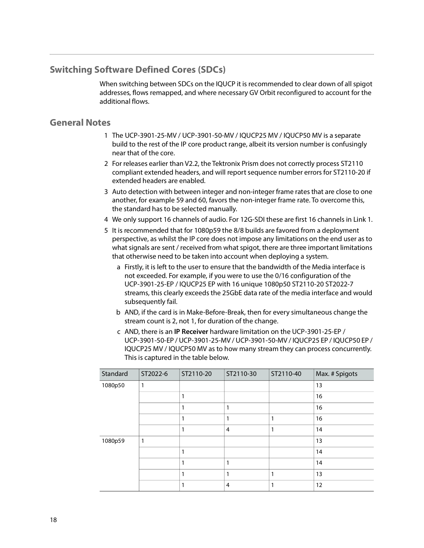#### <span id="page-17-0"></span>**Switching Software Defined Cores (SDCs)**

When switching between SDCs on the IQUCP it is recommended to clear down of all spigot addresses, flows remapped, and where necessary GV Orbit reconfigured to account for the additional flows.

#### <span id="page-17-1"></span>**General Notes**

- 1 The UCP-3901-25-MV / UCP-3901-50-MV / IQUCP25 MV / IQUCP50 MV is a separate build to the rest of the IP core product range, albeit its version number is confusingly near that of the core.
- 2 For releases earlier than V2.2, the Tektronix Prism does not correctly process ST2110 compliant extended headers, and will report sequence number errors for ST2110-20 if extended headers are enabled.
- 3 Auto detection with between integer and non-integer frame rates that are close to one another, for example 59 and 60, favors the non-integer frame rate. To overcome this, the standard has to be selected manually.
- 4 We only support 16 channels of audio. For 12G-SDI these are first 16 channels in Link 1.
- 5 It is recommended that for 1080p59 the 8/8 builds are favored from a deployment perspective, as whilst the IP core does not impose any limitations on the end user as to what signals are sent / received from what spigot, there are three important limitations that otherwise need to be taken into account when deploying a system.
	- a Firstly, it is left to the user to ensure that the bandwidth of the Media interface is not exceeded. For example, if you were to use the 0/16 configuration of the UCP-3901-25-EP / IQUCP25 EP with 16 unique 1080p50 ST2110-20 ST2022-7 streams, this clearly exceeds the 25GbE data rate of the media interface and would subsequently fail.
	- b AND, if the card is in Make-Before-Break, then for every simultaneous change the stream count is 2, not 1, for duration of the change.
	- c AND, there is an **IP Receiver** hardware limitation on the UCP-3901-25-EP / UCP-3901-50-EP / UCP-3901-25-MV / UCP-3901-50-MV / IQUCP25 EP / IQUCP50 EP / IQUCP25 MV / IQUCP50 MV as to how many stream they can process concurrently. This is captured in the table below.

| Standard | ST2022-6 | ST2110-20 | ST2110-30      | ST2110-40 | Max. # Spigots |
|----------|----------|-----------|----------------|-----------|----------------|
| 1080p50  | 1        |           |                |           | 13             |
|          |          |           |                |           | 16             |
|          |          |           | 1              |           | 16             |
|          |          |           | 1              |           | 16             |
|          |          | ш         | $\overline{4}$ |           | 14             |
| 1080p59  | 1        |           |                |           | 13             |
|          |          |           |                |           | 14             |
|          |          |           | 1              |           | 14             |
|          |          |           | 1              |           | 13             |
|          |          |           | $\overline{4}$ |           | 12             |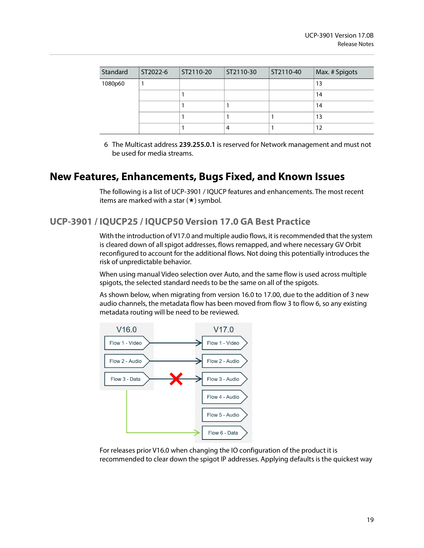| Standard | ST2022-6 | ST2110-20 | ST2110-30 | ST2110-40 | Max. # Spigots |
|----------|----------|-----------|-----------|-----------|----------------|
| 1080p60  |          |           |           |           | 13             |
|          |          |           |           |           | 14             |
|          |          |           |           |           | 14             |
|          |          |           |           |           | 13             |
|          |          |           | 4         |           | 12             |

6 The Multicast address **239.255.0.1** is reserved for Network management and must not be used for media streams.

#### <span id="page-18-0"></span>**New Features, Enhancements, Bugs Fixed, and Known Issues**

The following is a list of UCP-3901 / IQUCP features and enhancements. The most recent items are marked with a star  $(\star)$  symbol.

#### <span id="page-18-1"></span>**UCP-3901 / IQUCP25 / IQUCP50 Version 17.0 GA Best Practice**

With the introduction of V17.0 and multiple audio flows, it is recommended that the system is cleared down of all spigot addresses, flows remapped, and where necessary GV Orbit reconfigured to account for the additional flows. Not doing this potentially introduces the risk of unpredictable behavior.

When using manual Video selection over Auto, and the same flow is used across multiple spigots, the selected standard needs to be the same on all of the spigots.

As shown below, when migrating from version 16.0 to 17.00, due to the addition of 3 new audio channels, the metadata flow has been moved from flow 3 to flow 6, so any existing metadata routing will be need to be reviewed.



For releases prior V16.0 when changing the IO configuration of the product it is recommended to clear down the spigot IP addresses. Applying defaults is the quickest way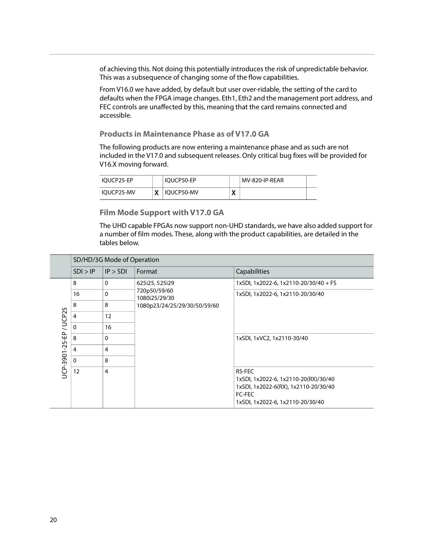of achieving this. Not doing this potentially introduces the risk of unpredictable behavior. This was a subsequence of changing some of the flow capabilities.

From V16.0 we have added, by default but user over-ridable, the setting of the card to defaults when the FPGA image changes. Eth1, Eth2 and the management port address, and FEC controls are unaffected by this, meaning that the card remains connected and accessible.

**Products in Maintenance Phase as of V17.0 GA**

The following products are now entering a maintenance phase and as such are not included in the V17.0 and subsequent releases. Only critical bug fixes will be provided for V16.X moving forward.

| IOUCP25-EP | <b>IOUCP50-EP</b> |        | MV-820-IP-REAR |  |
|------------|-------------------|--------|----------------|--|
| IOUCP25-MV | IQUCP50-MV        | v<br>Λ |                |  |

**Film Mode Support with V17.0 GA**

The UHD capable FPGAs now support non-UHD standards, we have also added support for a number of film modes. These, along with the product capabilities, are detailed in the tables below.

|                          |                | SD/HD/3G Mode of Operation |                               |                                                                                                                                      |  |  |
|--------------------------|----------------|----------------------------|-------------------------------|--------------------------------------------------------------------------------------------------------------------------------------|--|--|
|                          | SDI > IP       | IP > SDI                   | Format                        | Capabilities                                                                                                                         |  |  |
|                          | 8              | 0                          | 625i25, 525i29                | 1xSDI, 1x2022-6, 1x2110-20/30/40 + FS                                                                                                |  |  |
|                          | 16             | 0                          | 720p50/59/60<br>1080i25/29/30 | 1xSDI, 1x2022-6, 1x2110-20/30/40                                                                                                     |  |  |
|                          | 8              | 8                          | 1080p23/24/25/29/30/50/59/60  |                                                                                                                                      |  |  |
| UCP25                    | $\overline{4}$ | 12                         |                               |                                                                                                                                      |  |  |
| $\overline{\phantom{0}}$ | $\Omega$       | 16                         |                               |                                                                                                                                      |  |  |
|                          | 8              | 0                          |                               | 1xSDI, 1xVC2, 1x2110-30/40                                                                                                           |  |  |
|                          | 4              | $\overline{4}$             |                               |                                                                                                                                      |  |  |
|                          | $\Omega$       | 8                          |                               |                                                                                                                                      |  |  |
| JCP-3901-25-EP           | 12             | 4                          |                               | RS-FEC<br>1xSDI, 1x2022-6, 1x2110-20(RX)/30/40<br>1xSDI, 1x2022-6(RX), 1x2110-20/30/40<br>FC-FEC<br>1xSDI, 1x2022-6, 1x2110-20/30/40 |  |  |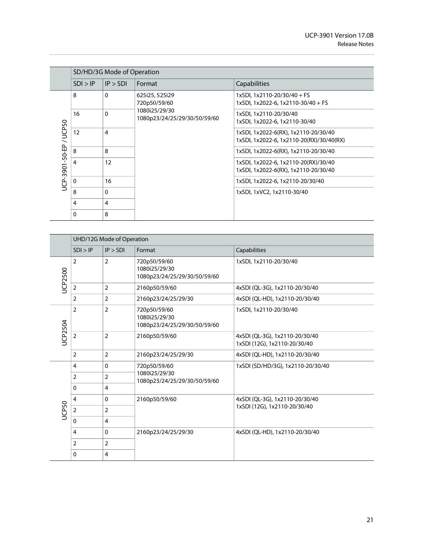|                |                | SD/HD/3G Mode of Operation |                                                                                 |                                                                                  |  |  |  |
|----------------|----------------|----------------------------|---------------------------------------------------------------------------------|----------------------------------------------------------------------------------|--|--|--|
|                | SDI > IP       | IP > SDI                   | Format                                                                          | Capabilities                                                                     |  |  |  |
|                | 8              | $\mathbf{0}$               | 625i25, 525i29<br>720p50/59/60<br>1080i25/29/30<br>1080p23/24/25/29/30/50/59/60 | 1xSDI, $1x2110-20/30/40 + FS$<br>1xSDI, 1x2022-6, 1x2110-30/40 + FS              |  |  |  |
|                | 16             | $\mathbf{0}$               |                                                                                 | 1xSDI, 1x2110-20/30/40<br>1xSDI, 1x2022-6, 1x2110-30/40                          |  |  |  |
| /UCP50         | 12             | 4                          |                                                                                 | 1xSDI, 1x2022-6(RX), 1x2110-20/30/40<br>1xSDI, 1x2022-6, 1x2110-20(RX)/30/40(RX) |  |  |  |
|                | 8              | 8                          |                                                                                 | 1xSDI, 1x2022-6(RX), 1x2110-20/30/40                                             |  |  |  |
| UCP-3901-50-EP | $\overline{4}$ | 12                         |                                                                                 | 1xSDI, 1x2022-6, 1x2110-20(RX)/30/40<br>1xSDI, 1x2022-6(RX), 1x2110-20/30/40     |  |  |  |
|                | $\Omega$       | 16                         |                                                                                 | 1xSDI, 1x2022-6, 1x2110-20/30/40                                                 |  |  |  |
|                | 8              | $\Omega$                   |                                                                                 | 1xSDI, 1xVC2, 1x2110-30/40                                                       |  |  |  |
|                | $\overline{4}$ | 4                          |                                                                                 |                                                                                  |  |  |  |
|                | 0              | 8                          |                                                                                 |                                                                                  |  |  |  |

|                |                | UHD/12G Mode of Operation |                                                               |                                                                |
|----------------|----------------|---------------------------|---------------------------------------------------------------|----------------------------------------------------------------|
|                | SDI > IP       | IP > SDI                  | Format                                                        | Capabilities                                                   |
| <b>UCP2500</b> | 2              | $\overline{2}$            | 720p50/59/60<br>1080i25/29/30<br>1080p23/24/25/29/30/50/59/60 | 1xSDI, 1x2110-20/30/40                                         |
|                | 2              | $\overline{2}$            | 2160p50/59/60                                                 | 4xSDI (QL-3G), 1x2110-20/30/40                                 |
|                | $\overline{2}$ | $\overline{2}$            | 2160p23/24/25/29/30                                           | 4xSDI (QL-HD), 1x2110-20/30/40                                 |
|                | $\overline{2}$ | $\overline{2}$            | 720p50/59/60<br>1080i25/29/30<br>1080p23/24/25/29/30/50/59/60 | 1xSDI, 1x2110-20/30/40                                         |
| JCP2504        | 2              | 2                         | 2160p50/59/60                                                 | 4xSDI (QL-3G), 1x2110-20/30/40<br>1xSDI (12G), 1x2110-20/30/40 |
|                | $\overline{2}$ | $\overline{2}$            | 2160p23/24/25/29/30                                           | 4xSDI (QL-HD), 1x2110-20/30/40                                 |
|                | 4              | 0                         | 720p50/59/60                                                  | 1xSDI (SD/HD/3G), 1x2110-20/30/40                              |
|                | 2              | $\overline{2}$            | 1080i25/29/30<br>1080p23/24/25/29/30/50/59/60                 |                                                                |
|                | 0              | 4                         |                                                               |                                                                |
|                | $\overline{4}$ | 0                         | 2160p50/59/60                                                 | 4xSDI (QL-3G), 1x2110-20/30/40                                 |
| <b>UCP50</b>   | 2              | $\overline{2}$            |                                                               | 1xSDI (12G), 1x2110-20/30/40                                   |
|                | 0              | 4                         |                                                               |                                                                |
|                | $\overline{4}$ | 0                         | 2160p23/24/25/29/30                                           | 4xSDI (QL-HD), 1x2110-20/30/40                                 |
|                | 2              | $\overline{2}$            |                                                               |                                                                |
|                | 0              | 4                         |                                                               |                                                                |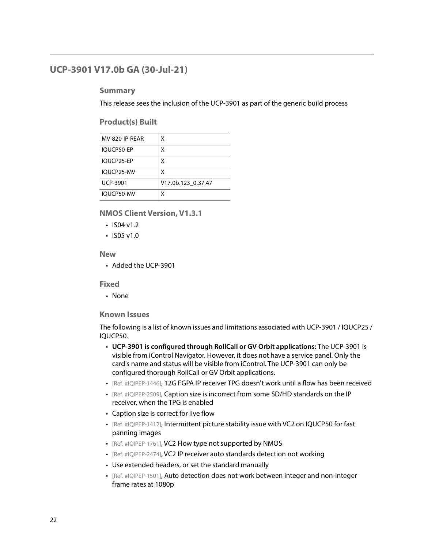#### <span id="page-21-0"></span>**UCP-3901 V17.0b GA (30-Jul-21)**

#### **Summary**

This release sees the inclusion of the UCP-3901 as part of the generic build process

**Product(s) Built**

| MV-820-IP-RFAR | Χ                  |
|----------------|--------------------|
| IOUCP50-EP     | Χ                  |
| IOUCP25-EP     | Χ                  |
| IQUCP25-MV     | Χ                  |
| UCP-3901       | V17.0b.123 0.37.47 |
| IQUCP50-MV     | Χ                  |

**NMOS Client Version, V1.3.1**

- IS04 v1.2
- IS05 v1.0

**New**

• Added the UCP-3901

**Fixed**

• None

#### **Known Issues**

The following is a list of known issues and limitations associated with UCP-3901 / IQUCP25 / IQUCP50.

- **UCP-3901 is configured through RollCall or GV Orbit applications:** The UCP-3901 is visible from iControl Navigator. However, it does not have a service panel. Only the card's name and status will be visible from iControl. The UCP-3901 can only be configured thorough RollCall or GV Orbit applications.
- [Ref. #IQIPEP-1446], 12G FGPA IP receiver TPG doesn't work until a flow has been received
- [Ref. #IQIPEP-2509], Caption size is incorrect from some SD/HD standards on the IP receiver, when the TPG is enabled
- Caption size is correct for live flow
- [Ref. #IQIPEP-1412], Intermittent picture stability issue with VC2 on IQUCP50 for fast panning images
- [Ref. #IQIPEP-1761], VC2 Flow type not supported by NMOS
- [Ref. #IQIPEP-2474], VC2 IP receiver auto standards detection not working
- Use extended headers, or set the standard manually
- [Ref. #IQIPEP-1501], Auto detection does not work between integer and non-integer frame rates at 1080p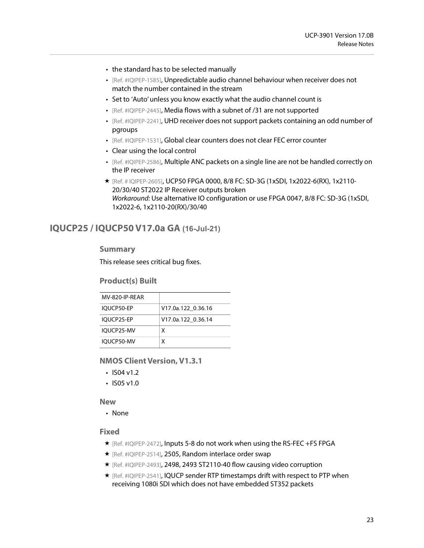- the standard has to be selected manually
- [Ref. #IQIPEP-1585], Unpredictable audio channel behaviour when receiver does not match the number contained in the stream
- Set to 'Auto' unless you know exactly what the audio channel count is
- [Ref. #IQIPEP-2445], Media flows with a subnet of /31 are not supported
- [Ref. #IQIPEP-2241], UHD receiver does not support packets containing an odd number of pgroups
- [Ref. #IQIPEP-1531], Global clear counters does not clear FEC error counter
- Clear using the local control
- [Ref. #IQIPEP-2586], Multiple ANC packets on a single line are not be handled correctly on the IP receiver
- $\star$  [Ref. # IQIPEP-2605], UCP50 FPGA 0000, 8/8 FC: SD-3G (1xSDI, 1x2022-6(RX), 1x2110-20/30/40 ST2022 IP Receiver outputs broken Workaround: Use alternative IO configuration or use FPGA 0047, 8/8 FC: SD-3G (1xSDI, 1x2022-6, 1x2110-20(RX)/30/40

#### <span id="page-22-0"></span>**IQUCP25 / IQUCP50 V17.0a GA (16-Jul-21)**

#### **Summary**

This release sees critical bug fixes.

#### **Product(s) Built**

| MV-820-IP-RFAR    |                    |
|-------------------|--------------------|
| IOUCP50-EP        | V17.0a.122 0.36.16 |
| IOUCP25-EP        | V17.0a.122 0.36.14 |
| IQUCP25-MV        | x                  |
| <b>IOUCP50-MV</b> | Χ                  |

#### **NMOS Client Version, V1.3.1**

- $\cdot$  IS04 v1.2
- IS05 v1.0

#### **New**

• None

#### **Fixed**

- $\star$  [Ref. #IQIPEP-2472], Inputs 5-8 do not work when using the RS-FEC +FS FPGA
- [Ref. #IQIPEP-2514], 2505, Random interlace order swap
- [Ref. #IQIPEP-2493], 2498, 2493 ST2110-40 flow causing video corruption
- [Ref. #IQIPEP-2541], IQUCP sender RTP timestamps drift with respect to PTP when receiving 1080i SDI which does not have embedded ST352 packets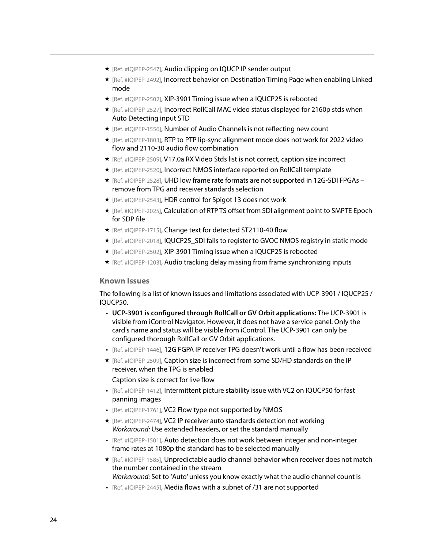- [Ref. #IQIPEP-2547], Audio clipping on IQUCP IP sender output
- [Ref. #IQIPEP-2492], Incorrect behavior on Destination Timing Page when enabling Linked mode
- \* [Ref. #IQIPEP-2502], XIP-3901 Timing issue when a IQUCP25 is rebooted
- $\star$  [Ref. #IQIPEP-2527], Incorrect RollCall MAC video status displayed for 2160p stds when Auto Detecting input STD
- [Ref. #IQIPEP-1556], Number of Audio Channels is not reflecting new count
- $\star$  [Ref. #IQIPEP-1803], RTP to PTP lip-sync alignment mode does not work for 2022 video flow and 2110-30 audio flow combination
- [Ref. #IQIPEP-2509], V17.0a RX Video Stds list is not correct, caption size incorrect
- [Ref. #IQIPEP-2520], Incorrect NMOS interface reported on RollCall template
- $\star$  [Ref. #IQIPEP-2528], UHD low frame rate formats are not supported in 12G-SDI FPGAs remove from TPG and receiver standards selection
- [Ref. #IQIPEP-2543], HDR control for Spigot 13 does not work
- [Ref. #IQIPEP-2025], Calculation of RTP TS offset from SDI alignment point to SMPTE Epoch for SDP file
- $\star$  [Ref. #IQIPEP-1715], Change text for detected ST2110-40 flow
- $\star$  [Ref. #IQIPEP-2018], IQUCP25\_SDI fails to register to GVOC NMOS registry in static mode
- [Ref. #IQIPEP-2502], XIP-3901 Timing issue when a IQUCP25 is rebooted
- [Ref. #IQIPEP-1203], Audio tracking delay missing from frame synchronizing inputs

#### **Known Issues**

The following is a list of known issues and limitations associated with UCP-3901 / IQUCP25 / IQUCP50.

- **UCP-3901 is configured through RollCall or GV Orbit applications:** The UCP-3901 is visible from iControl Navigator. However, it does not have a service panel. Only the card's name and status will be visible from iControl. The UCP-3901 can only be configured thorough RollCall or GV Orbit applications.
- [Ref. #IQIPEP-1446], 12G FGPA IP receiver TPG doesn't work until a flow has been received
- $\star$  [Ref. #IOIPEP-2509]. Caption size is incorrect from some SD/HD standards on the IP receiver, when the TPG is enabled

Caption size is correct for live flow

- [Ref. #IQIPEP-1412], Intermittent picture stability issue with VC2 on IQUCP50 for fast panning images
- [Ref. #IQIPEP-1761], VC2 Flow type not supported by NMOS
- \* [Ref. #IQIPEP-2474], VC2 IP receiver auto standards detection not working Workaround: Use extended headers, or set the standard manually
- [Ref. #IQIPEP-1501], Auto detection does not work between integer and non-integer frame rates at 1080p the standard has to be selected manually
- $\star$  [Ref. #IQIPEP-1585], Unpredictable audio channel behavior when receiver does not match the number contained in the stream Workaround: Set to 'Auto' unless you know exactly what the audio channel count is
- [Ref. #IQIPEP-2445], Media flows with a subnet of /31 are not supported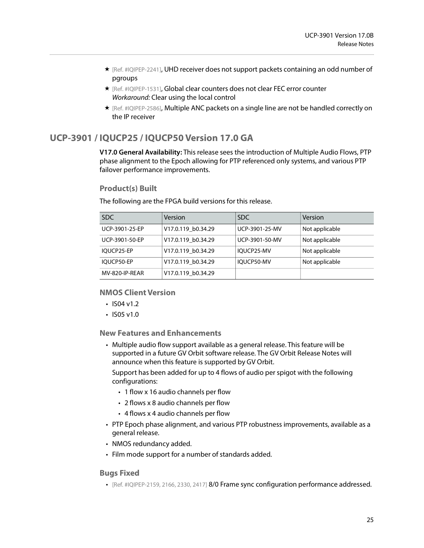- $\star$  [Ref. #IQIPEP-2241], UHD receiver does not support packets containing an odd number of pgroups
- [Ref. #IQIPEP-1531], Global clear counters does not clear FEC error counter Workaround: Clear using the local control
- $\star$  [Ref. #IQIPEP-2586], Multiple ANC packets on a single line are not be handled correctly on the IP receiver

#### <span id="page-24-0"></span>**UCP-3901 / IQUCP25 / IQUCP50 Version 17.0 GA**

**V17.0 General Availability:** This release sees the introduction of Multiple Audio Flows, PTP phase alignment to the Epoch allowing for PTP referenced only systems, and various PTP failover performance improvements.

#### **Product(s) Built**

The following are the FPGA build versions for this release.

| SDC.           | Version            | <b>SDC</b>        | Version        |
|----------------|--------------------|-------------------|----------------|
| UCP-3901-25-EP | V17.0.119 b0.34.29 | UCP-3901-25-MV    | Not applicable |
| UCP-3901-50-EP | V17.0.119 b0.34.29 | UCP-3901-50-MV    | Not applicable |
| IOUCP25-EP     | V17.0.119 b0.34.29 | IOUCP25-MV        | Not applicable |
| IOUCP50-EP     | V17.0.119 b0.34.29 | <b>IOUCP50-MV</b> | Not applicable |
| MV-820-IP-REAR | V17.0.119 b0.34.29 |                   |                |

#### **NMOS Client Version**

- $\cdot$  IS04 v1.2
- $\cdot$  IS05 v1.0

**New Features and Enhancements**

• Multiple audio flow support available as a general release. This feature will be supported in a future GV Orbit software release. The GV Orbit Release Notes will announce when this feature is supported by GV Orbit.

Support has been added for up to 4 flows of audio per spigot with the following configurations:

- 1 flow x 16 audio channels per flow
- 2 flows x 8 audio channels per flow
- 4 flows x 4 audio channels per flow
- PTP Epoch phase alignment, and various PTP robustness improvements, available as a general release.
- NMOS redundancy added.
- Film mode support for a number of standards added.

#### **Bugs Fixed**

• [Ref. #IQIPEP-2159, 2166, 2330, 2417] 8/0 Frame sync configuration performance addressed.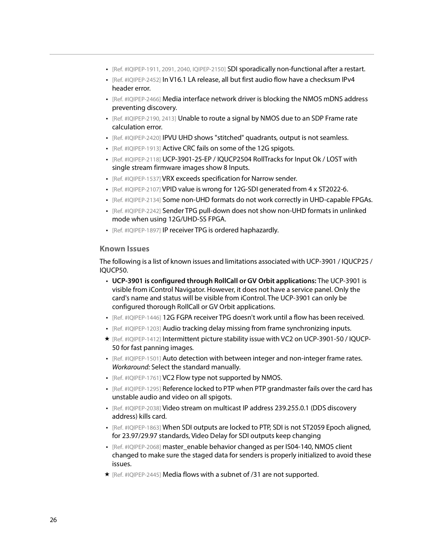- [Ref. #IQIPEP-1911, 2091, 2040, IQIPEP-2150] SDI sporadically non-functional after a restart.
- [Ref. #IQIPEP-2452] In V16.1 LA release, all but first audio flow have a checksum IPv4 header error.
- [Ref. #IOIPEP-2466] Media interface network driver is blocking the NMOS mDNS address preventing discovery.
- [Ref. #IQIPEP-2190, 2413] Unable to route a signal by NMOS due to an SDP Frame rate calculation error.
- [Ref. #IQIPEP-2420] IPVU UHD shows "stitched" quadrants, output is not seamless.
- [Ref. #IQIPEP-1913] Active CRC fails on some of the 12G spigots.
- [Ref. #IQIPEP-2118] UCP-3901-25-EP / IQUCP2504 RollTracks for Input Ok / LOST with single stream firmware images show 8 Inputs.
- [Ref. #IQIPEP-1537] VRX exceeds specification for Narrow sender.
- [Ref. #IQIPEP-2107] VPID value is wrong for 12G-SDI generated from 4 x ST2022-6.
- [Ref. #IQIPEP-2134] Some non-UHD formats do not work correctly in UHD-capable FPGAs.
- [Ref. #IQIPEP-2242] Sender TPG pull-down does not show non-UHD formats in unlinked mode when using 12G/UHD-SS FPGA.
- [Ref. #IQIPEP-1897] IP receiver TPG is ordered haphazardly.

#### **Known Issues**

The following is a list of known issues and limitations associated with UCP-3901 / IQUCP25 / IQUCP50.

- **UCP-3901 is configured through RollCall or GV Orbit applications:** The UCP-3901 is visible from iControl Navigator. However, it does not have a service panel. Only the card's name and status will be visible from iControl. The UCP-3901 can only be configured thorough RollCall or GV Orbit applications.
- [Ref. #IQIPEP-1446] 12G FGPA receiver TPG doesn't work until a flow has been received.
- [Ref. #IQIPEP-1203] Audio tracking delay missing from frame synchronizing inputs.
- [Ref. #IQIPEP-1412] Intermittent picture stability issue with VC2 on UCP-3901-50 / IQUCP-50 for fast panning images.
- [Ref. #IQIPEP-1501] Auto detection with between integer and non-integer frame rates. Workaround: Select the standard manually.
- [Ref. #IQIPEP-1761] VC2 Flow type not supported by NMOS.
- [Ref. #IOIPEP-1295] Reference locked to PTP when PTP grandmaster fails over the card has unstable audio and video on all spigots.
- [Ref. #IQIPEP-2038] Video stream on multicast IP address 239.255.0.1 (DDS discovery address) kills card.
- [Ref. #IQIPEP-1863] When SDI outputs are locked to PTP, SDI is not ST2059 Epoch aligned, for 23.97/29.97 standards, Video Delay for SDI outputs keep changing
- [Ref. #IQIPEP-2068] master enable behavior changed as per IS04-140, NMOS client changed to make sure the staged data for senders is properly initialized to avoid these issues.
- $\star$  [Ref. #IQIPEP-2445] Media flows with a subnet of /31 are not supported.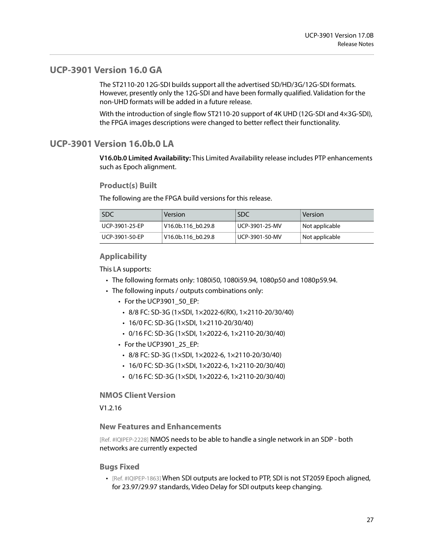#### <span id="page-26-0"></span>**UCP-3901 Version 16.0 GA**

The ST2110-20 12G-SDI builds support all the advertised SD/HD/3G/12G-SDI formats. However, presently only the 12G-SDI and have been formally qualified. Validation for the non-UHD formats will be added in a future release.

With the introduction of single flow ST2110-20 support of 4K UHD (12G-SDI and 4×3G-SDI), the FPGA images descriptions were changed to better reflect their functionality.

#### <span id="page-26-1"></span>**UCP-3901 Version 16.0b.0 LA**

**V16.0b.0 Limited Availability:** This Limited Availability release includes PTP enhancements such as Epoch alignment.

#### **Product(s) Built**

The following are the FPGA build versions for this release.

| <b>SDC</b>     | Version                                     | <b>SDC</b>     | Version        |
|----------------|---------------------------------------------|----------------|----------------|
| UCP-3901-25-EP | V <sub>16.0</sub> b.116 b <sub>0.29.8</sub> | UCP-3901-25-MV | Not applicable |
| UCP-3901-50-EP | V16.0b.116 b0.29.8                          | UCP-3901-50-MV | Not applicable |

#### **Applicability**

This LA supports:

- The following formats only: 1080i50, 1080i59.94, 1080p50 and 1080p59.94.
- The following inputs / outputs combinations only:
	- For the UCP3901 50 EP:
	- 8/8 FC: SD-3G (1×SDI, 1×2022-6(RX), 1×2110-20/30/40)
	- 16/0 FC: SD-3G (1×SDI, 1×2110-20/30/40)
	- 0/16 FC: SD-3G (1×SDI, 1×2022-6, 1×2110-20/30/40)
	- For the UCP3901 25 EP:
	- 8/8 FC: SD-3G (1×SDI, 1×2022-6, 1×2110-20/30/40)
	- 16/0 FC: SD-3G (1×SDI, 1×2022-6, 1×2110-20/30/40)
	- 0/16 FC: SD-3G (1×SDI, 1×2022-6, 1×2110-20/30/40)

#### **NMOS Client Version**

V1.2.16

#### **New Features and Enhancements**

[Ref. #IQIPEP-2228] NMOS needs to be able to handle a single network in an SDP - both networks are currently expected

#### **Bugs Fixed**

• [Ref. #IQIPEP-1863] When SDI outputs are locked to PTP, SDI is not ST2059 Epoch aligned, for 23.97/29.97 standards, Video Delay for SDI outputs keep changing.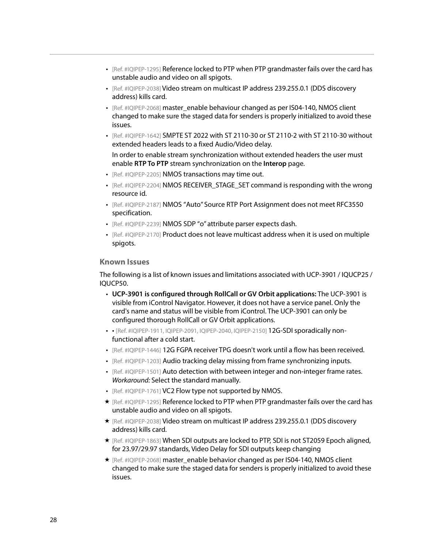- [Ref. #IQIPEP-1295] Reference locked to PTP when PTP grandmaster fails over the card has unstable audio and video on all spigots.
- [Ref. #IQIPEP-2038] Video stream on multicast IP address 239.255.0.1 (DDS discovery address) kills card.
- [Ref. #IQIPEP-2068] master enable behaviour changed as per IS04-140, NMOS client changed to make sure the staged data for senders is properly initialized to avoid these issues.
- [Ref. #IQIPEP-1642] SMPTE ST 2022 with ST 2110-30 or ST 2110-2 with ST 2110-30 without extended headers leads to a fixed Audio/Video delay.

In order to enable stream synchronization without extended headers the user must enable **RTP To PTP** stream synchronization on the **Interop** page.

- [Ref. #IQIPEP-2205] NMOS transactions may time out.
- [Ref. #IQIPEP-2204] NMOS RECEIVER\_STAGE\_SET command is responding with the wrong resource id.
- [Ref. #IQIPEP-2187] NMOS "Auto" Source RTP Port Assignment does not meet RFC3550 specification.
- [Ref. #IQIPEP-2239] NMOS SDP "o" attribute parser expects dash.
- [Ref. #IQIPEP-2170] Product does not leave multicast address when it is used on multiple spigots.

#### **Known Issues**

The following is a list of known issues and limitations associated with UCP-3901 / IQUCP25 / IQUCP50.

- **UCP-3901 is configured through RollCall or GV Orbit applications:** The UCP-3901 is visible from iControl Navigator. However, it does not have a service panel. Only the card's name and status will be visible from iControl. The UCP-3901 can only be configured thorough RollCall or GV Orbit applications.
- • [Ref. #IQIPEP-1911, IQIPEP-2091, IQIPEP-2040, IQIPEP-2150] 12G-SDI sporadically nonfunctional after a cold start.
- [Ref. #IQIPEP-1446] 12G FGPA receiver TPG doesn't work until a flow has been received.
- [Ref. #IQIPEP-1203] Audio tracking delay missing from frame synchronizing inputs.
- [Ref. #IQIPEP-1501] Auto detection with between integer and non-integer frame rates. Workaround: Select the standard manually.
- [Ref. #IQIPEP-1761] VC2 Flow type not supported by NMOS.
- $\star$  [Ref. #IQIPEP-1295] Reference locked to PTP when PTP grandmaster fails over the card has unstable audio and video on all spigots.
- [Ref. #IQIPEP-2038] Video stream on multicast IP address 239.255.0.1 (DDS discovery address) kills card.
- $\star$  [Ref. #IQIPEP-1863] When SDI outputs are locked to PTP, SDI is not ST2059 Epoch aligned, for 23.97/29.97 standards, Video Delay for SDI outputs keep changing
- [Ref. #IQIPEP-2068] master\_enable behavior changed as per IS04-140, NMOS client changed to make sure the staged data for senders is properly initialized to avoid these issues.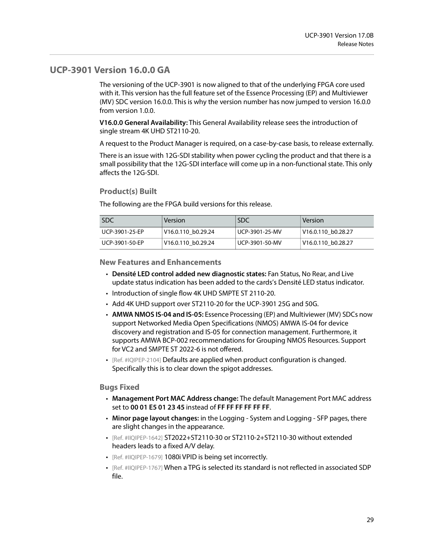#### <span id="page-28-0"></span>**UCP-3901 Version 16.0.0 GA**

The versioning of the UCP-3901 is now aligned to that of the underlying FPGA core used with it. This version has the full feature set of the Essence Processing (EP) and Multiviewer (MV) SDC version 16.0.0. This is why the version number has now jumped to version 16.0.0 from version 1.0.0.

**V16.0.0 General Availability:** This General Availability release sees the introduction of single stream 4K UHD ST2110-20.

A request to the Product Manager is required, on a case-by-case basis, to release externally.

There is an issue with 12G-SDI stability when power cycling the product and that there is a small possibility that the 12G-SDI interface will come up in a non-functional state. This only affects the 12G-SDI.

#### **Product(s) Built**

The following are the FPGA build versions for this release.

| <b>SDC</b>     | Version                                    | <b>SDC</b>     | Version                                    |
|----------------|--------------------------------------------|----------------|--------------------------------------------|
| UCP-3901-25-EP | V <sub>16.0.110</sub> b <sub>0.29.24</sub> | UCP-3901-25-MV | V <sub>16.0.110</sub> b <sub>0.28.27</sub> |
| UCP-3901-50-EP | V <sub>16.0.110</sub> b <sub>0.29.24</sub> | UCP-3901-50-MV | V <sub>16.0.110</sub> b <sub>0.28.27</sub> |

**New Features and Enhancements**

- **Densité LED control added new diagnostic states:** Fan Status, No Rear, and Live update status indication has been added to the cards's Densité LED status indicator.
- Introduction of single flow 4K UHD SMPTE ST 2110-20.
- Add 4K UHD support over ST2110-20 for the UCP-3901 25G and 50G.
- **AMWA NMOS IS-04 and IS-05:** Essence Processing (EP) and Multiviewer (MV) SDCs now support Networked Media Open Specifications (NMOS) AMWA IS-04 for device discovery and registration and IS-05 for connection management. Furthermore, it supports AMWA BCP-002 recommendations for Grouping NMOS Resources. Support for VC2 and SMPTE ST 2022-6 is not offered.
- [Ref. #IQIPEP-2104] Defaults are applied when product configuration is changed. Specifically this is to clear down the spigot addresses.

#### **Bugs Fixed**

- **Management Port MAC Address change:** The default Management Port MAC address set to **00 01 E5 01 23 45** instead of **FF FF FF FF FF FF**.
- **Minor page layout changes:** in the Logging System and Logging SFP pages, there are slight changes in the appearance.
- [Ref. #IIQIPEP-1642] ST2022+ST2110-30 or ST2110-2+ST2110-30 without extended headers leads to a fixed A/V delay.
- [Ref. #IIQIPEP-1679] 1080i VPID is being set incorrectly.
- [Ref. #IIQIPEP-1767] When a TPG is selected its standard is not reflected in associated SDP file.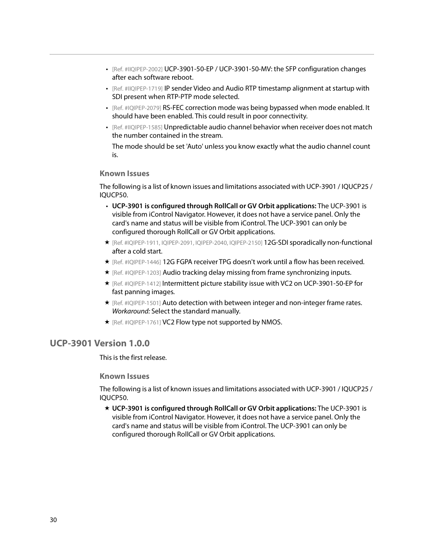- [Ref. #IIQIPEP-2002] UCP-3901-50-EP / UCP-3901-50-MV: the SFP configuration changes after each software reboot.
- [Ref. #IIQIPEP-1719] IP sender Video and Audio RTP timestamp alignment at startup with SDI present when RTP-PTP mode selected.
- [Ref. #IQIPEP-2079] RS-FEC correction mode was being bypassed when mode enabled. It should have been enabled. This could result in poor connectivity.
- [Ref. #IIQIPEP-1585] Unpredictable audio channel behavior when receiver does not match the number contained in the stream.

The mode should be set 'Auto' unless you know exactly what the audio channel count is.

#### **Known Issues**

The following is a list of known issues and limitations associated with UCP-3901 / IQUCP25 / IQUCP50.

- **UCP-3901 is configured through RollCall or GV Orbit applications:** The UCP-3901 is visible from iControl Navigator. However, it does not have a service panel. Only the card's name and status will be visible from iControl. The UCP-3901 can only be configured thorough RollCall or GV Orbit applications.
- [Ref. #IQIPEP-1911, IQIPEP-2091, IQIPEP-2040, IQIPEP-2150] 12G-SDI sporadically non-functional after a cold start.
- $\star$  [Ref. #IQIPEP-1446] 12G FGPA receiver TPG doesn't work until a flow has been received.
- $\star$  [Ref. #IQIPEP-1203] Audio tracking delay missing from frame synchronizing inputs.
- [Ref. #IQIPEP-1412] Intermittent picture stability issue with VC2 on UCP-3901-50-EP for fast panning images.
- $\star$  [Ref. #IQIPEP-1501] Auto detection with between integer and non-integer frame rates. Workaround: Select the standard manually.
- $\star$  [Ref. #IQIPEP-1761] VC2 Flow type not supported by NMOS.

#### <span id="page-29-0"></span>**UCP-3901 Version 1.0.0**

This is the first release.

#### **Known Issues**

The following is a list of known issues and limitations associated with UCP-3901 / IQUCP25 / IQUCP50.

 **UCP-3901 is configured through RollCall or GV Orbit applications:** The UCP-3901 is visible from iControl Navigator. However, it does not have a service panel. Only the card's name and status will be visible from iControl. The UCP-3901 can only be configured thorough RollCall or GV Orbit applications.